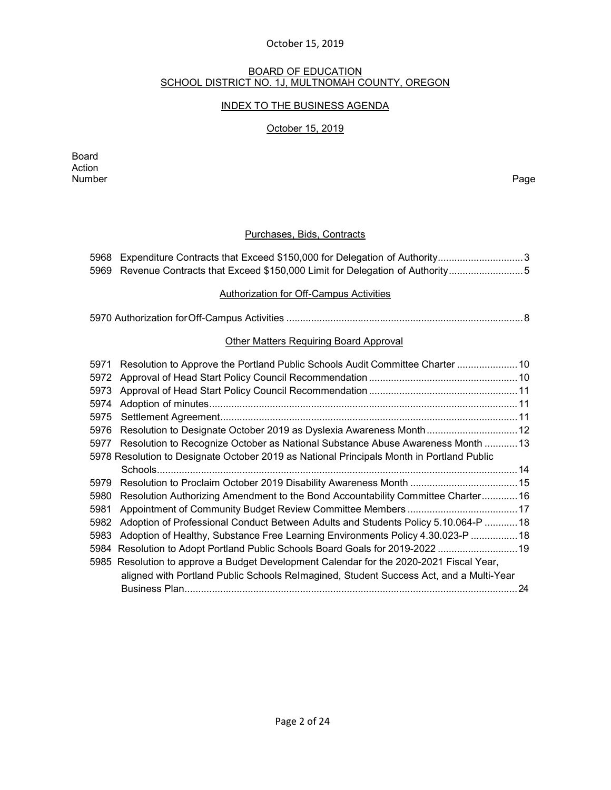#### BOARD OF EDUCATION SCHOOL DISTRICT NO. 1J, MULTNOMAH COUNTY, OREGON

#### INDEX TO THE BUSINESS AGENDA

#### October 15, 2019

Board Action Number Page

#### Purchases, Bids, Contracts

| 5968 Expenditure Contracts that Exceed \$150,000 for Delegation of Authority3   |
|---------------------------------------------------------------------------------|
| 5969 Revenue Contracts that Exceed \$150,000 Limit for Delegation of Authority5 |

#### [Authorization for Off-Campus Activities](#page-7-0)

|--|--|--|

#### Other Matters Requiring Board Approval

| 5971 | Resolution to Approve the Portland Public Schools Audit Committee Charter  10             |    |
|------|-------------------------------------------------------------------------------------------|----|
| 5972 |                                                                                           |    |
| 5973 |                                                                                           |    |
| 5974 |                                                                                           |    |
| 5975 |                                                                                           |    |
| 5976 | Resolution to Designate October 2019 as Dyslexia Awareness Month 12                       |    |
|      | 5977 Resolution to Recognize October as National Substance Abuse Awareness Month  13      |    |
|      | 5978 Resolution to Designate October 2019 as National Principals Month in Portland Public |    |
|      |                                                                                           |    |
| 5979 |                                                                                           |    |
| 5980 | Resolution Authorizing Amendment to the Bond Accountability Committee Charter 16          |    |
| 5981 |                                                                                           |    |
| 5982 | Adoption of Professional Conduct Between Adults and Students Policy 5.10.064-P  18        |    |
| 5983 | Adoption of Healthy, Substance Free Learning Environments Policy 4.30.023-P  18           |    |
|      | 5984 Resolution to Adopt Portland Public Schools Board Goals for 2019-2022  19            |    |
|      | 5985 Resolution to approve a Budget Development Calendar for the 2020-2021 Fiscal Year,   |    |
|      | aligned with Portland Public Schools Relmagined, Student Success Act, and a Multi-Year    |    |
|      |                                                                                           | 24 |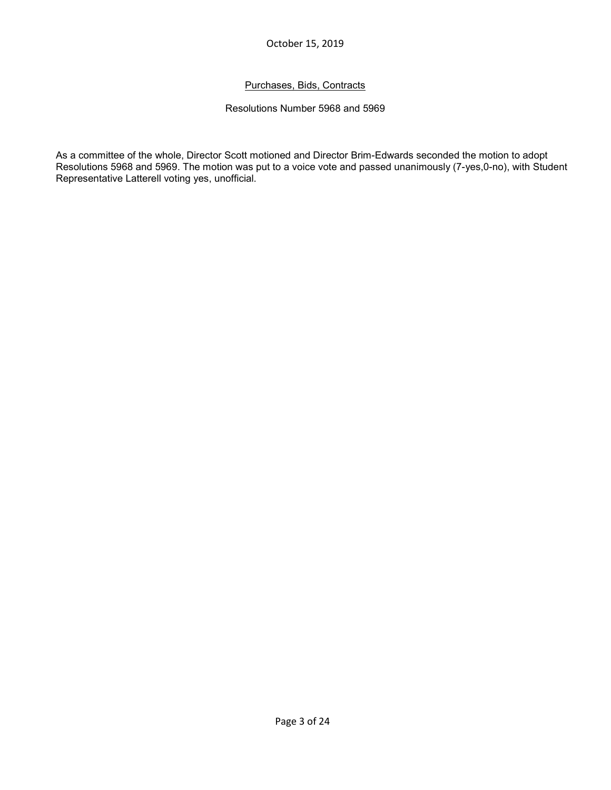# Purchases, Bids, Contracts

#### Resolutions Number 5968 and 5969

As a committee of the whole, Director Scott motioned and Director Brim-Edwards seconded the motion to adopt Resolutions 5968 and 5969. The motion was put to a voice vote and passed unanimously (7-yes,0-no), with Student Representative Latterell voting yes, unofficial.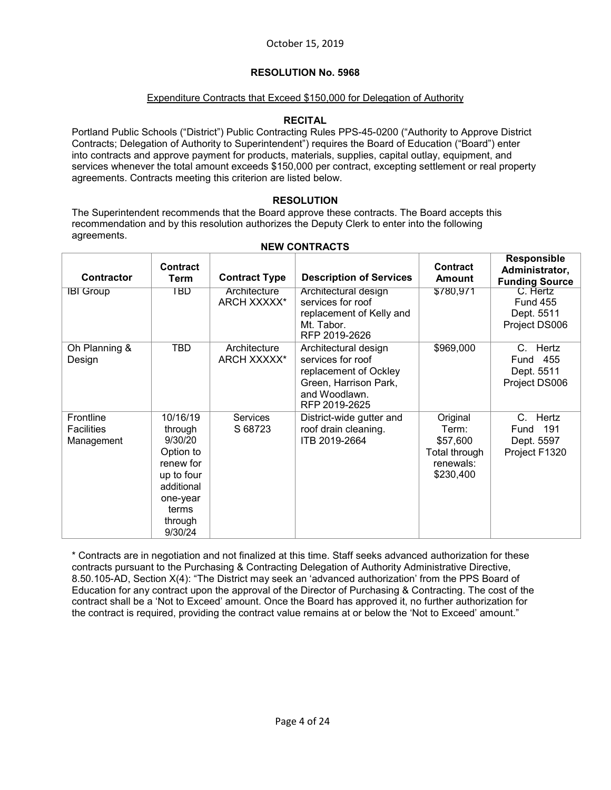#### Expenditure Contracts that Exceed \$150,000 for Delegation of Authority

#### **RECITAL**

Portland Public Schools ("District") Public Contracting Rules PPS-45-0200 ("Authority to Approve District Contracts; Delegation of Authority to Superintendent") requires the Board of Education ("Board") enter into contracts and approve payment for products, materials, supplies, capital outlay, equipment, and services whenever the total amount exceeds \$150,000 per contract, excepting settlement or real property agreements. Contracts meeting this criterion are listed below.

# **RESOLUTION**

The Superintendent recommends that the Board approve these contracts. The Board accepts this recommendation and by this resolution authorizes the Deputy Clerk to enter into the following agreements.

| <b>Contractor</b>                            | <b>Contract</b><br>Term                                                                                                         | <b>Contract Type</b>        | <b>Description of Services</b>                                                                                                | <b>Contract</b><br>Amount                                                | <b>Responsible</b><br>Administrator,<br><b>Funding Source</b> |
|----------------------------------------------|---------------------------------------------------------------------------------------------------------------------------------|-----------------------------|-------------------------------------------------------------------------------------------------------------------------------|--------------------------------------------------------------------------|---------------------------------------------------------------|
| <b>IBI Group</b>                             | TBD                                                                                                                             | Architecture<br>ARCH XXXXX* | Architectural design<br>services for roof<br>replacement of Kelly and<br>Mt. Tabor.<br>RFP 2019-2626                          | \$780,971                                                                | C. Hertz<br><b>Fund 455</b><br>Dept. 5511<br>Project DS006    |
| Oh Planning &<br>Design                      | <b>TBD</b>                                                                                                                      | Architecture<br>ARCH XXXXX* | Architectural design<br>services for roof<br>replacement of Ockley<br>Green, Harrison Park,<br>and Woodlawn.<br>RFP 2019-2625 | \$969,000                                                                | Hertz<br>C.<br>455<br>Fund<br>Dept. 5511<br>Project DS006     |
| Frontline<br><b>Facilities</b><br>Management | 10/16/19<br>through<br>9/30/20<br>Option to<br>renew for<br>up to four<br>additional<br>one-year<br>terms<br>through<br>9/30/24 | <b>Services</b><br>S 68723  | District-wide gutter and<br>roof drain cleaning.<br>ITB 2019-2664                                                             | Original<br>Term:<br>\$57,600<br>Total through<br>renewals:<br>\$230,400 | Hertz<br>C.<br>191<br>Fund<br>Dept. 5597<br>Project F1320     |

#### **NEW CONTRACTS**

\* Contracts are in negotiation and not finalized at this time. Staff seeks advanced authorization for these contracts pursuant to the Purchasing & Contracting Delegation of Authority Administrative Directive, 8.50.105-AD, Section X(4): "The District may seek an 'advanced authorization' from the PPS Board of Education for any contract upon the approval of the Director of Purchasing & Contracting. The cost of the contract shall be a 'Not to Exceed' amount. Once the Board has approved it, no further authorization for the contract is required, providing the contract value remains at or below the 'Not to Exceed' amount."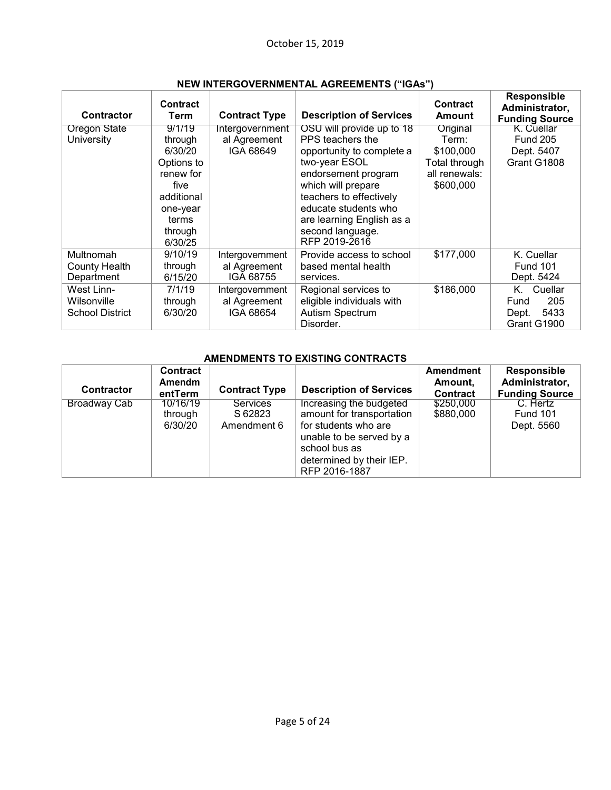| Contractor             | <b>Contract</b><br>Term | <b>Contract Type</b> | <b>Description of Services</b> | <b>Contract</b><br><b>Amount</b> | <b>Responsible</b><br>Administrator,<br><b>Funding Source</b> |
|------------------------|-------------------------|----------------------|--------------------------------|----------------------------------|---------------------------------------------------------------|
| <b>Oregon State</b>    | 9/1/19                  | Intergovernment      | OSU will provide up to 18      | Original                         | K. Cuellar                                                    |
| University             | through                 | al Agreement         | PPS teachers the               | Term:                            | <b>Fund 205</b>                                               |
|                        | 6/30/20                 | IGA 68649            | opportunity to complete a      | \$100,000                        | Dept. 5407                                                    |
|                        | Options to              |                      | two-year ESOL                  | Total through                    | Grant G1808                                                   |
|                        | renew for               |                      | endorsement program            | all renewals:                    |                                                               |
|                        | five                    |                      | which will prepare             | \$600,000                        |                                                               |
|                        | additional              |                      | teachers to effectively        |                                  |                                                               |
|                        | one-year                |                      | educate students who           |                                  |                                                               |
|                        | terms                   |                      | are learning English as a      |                                  |                                                               |
|                        | through                 |                      | second language.               |                                  |                                                               |
|                        | 6/30/25                 |                      | RFP 2019-2616                  |                                  |                                                               |
| Multnomah              | 9/10/19                 | Intergovernment      | Provide access to school       | \$177,000                        | K. Cuellar                                                    |
| County Health          | through                 | al Agreement         | based mental health            |                                  | <b>Fund 101</b>                                               |
| Department             | 6/15/20                 | IGA 68755            | services.                      |                                  | Dept. 5424                                                    |
| West Linn-             | 7/1/19                  | Intergovernment      | Regional services to           | \$186,000                        | K. Cuellar                                                    |
| Wilsonville            | through                 | al Agreement         | eligible individuals with      |                                  | 205<br>Fund                                                   |
| <b>School District</b> | 6/30/20                 | IGA 68654            | Autism Spectrum                |                                  | 5433<br>Dept.                                                 |
|                        |                         |                      | Disorder.                      |                                  | Grant G1900                                                   |

# **NEW INTERGOVERNMENTAL AGREEMENTS ("IGAs")**

# **AMENDMENTS TO EXISTING CONTRACTS**

| Contractor          | Contract<br><b>Amendm</b><br>entTerm | <b>Contract Type</b>                      | <b>Description of Services</b>                                                                                                                                         | Amendment<br>Amount.<br><b>Contract</b> | Responsible<br>Administrator,<br><b>Funding Source</b> |
|---------------------|--------------------------------------|-------------------------------------------|------------------------------------------------------------------------------------------------------------------------------------------------------------------------|-----------------------------------------|--------------------------------------------------------|
| <b>Broadway Cab</b> | 10/16/19<br>through<br>6/30/20       | <b>Services</b><br>S 62823<br>Amendment 6 | Increasing the budgeted<br>amount for transportation<br>for students who are<br>unable to be served by a<br>school bus as<br>determined by their IEP.<br>RFP 2016-1887 | \$250,000<br>\$880,000                  | C. Hertz<br>Fund 101<br>Dept. 5560                     |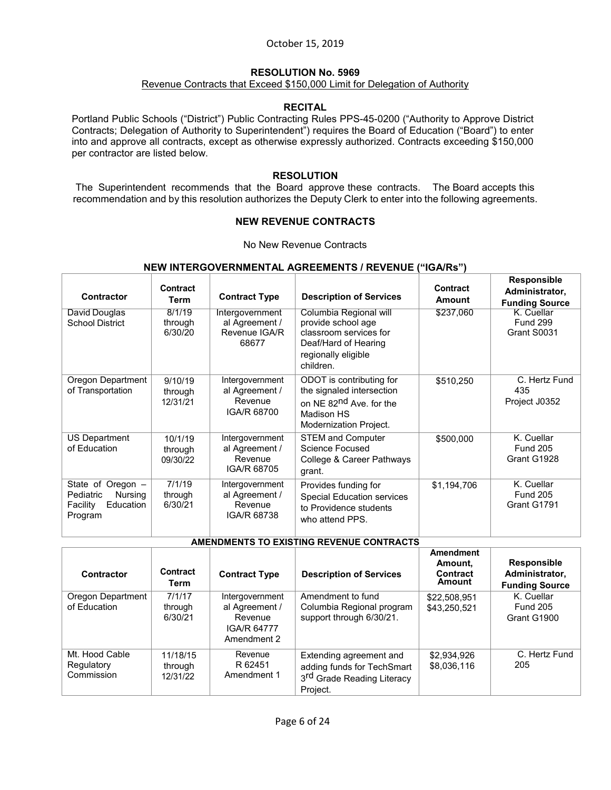# **RESOLUTION No. 5969**

#### Revenue Contracts that Exceed \$150,000 Limit for Delegation of Authority

#### **RECITAL**

Portland Public Schools ("District") Public Contracting Rules PPS-45-0200 ("Authority to Approve District Contracts; Delegation of Authority to Superintendent") requires the Board of Education ("Board") to enter into and approve all contracts, except as otherwise expressly authorized. Contracts exceeding \$150,000 per contractor are listed below.

# **RESOLUTION**

The Superintendent recommends that the Board approve these contracts. The Board accepts this recommendation and by this resolution authorizes the Deputy Clerk to enter into the following agreements.

#### **NEW REVENUE CONTRACTS**

No New Revenue Contracts

# **NEW INTERGOVERNMENTAL AGREEMENTS / REVENUE ("IGA/Rs")**

| Contractor                                                                    | Contract<br>Term               | <b>Contract Type</b>                                        | <b>Description of Services</b>                                                                                                       | Contract<br><b>Amount</b> | <b>Responsible</b><br>Administrator,<br><b>Funding Source</b> |
|-------------------------------------------------------------------------------|--------------------------------|-------------------------------------------------------------|--------------------------------------------------------------------------------------------------------------------------------------|---------------------------|---------------------------------------------------------------|
| David Douglas<br><b>School District</b>                                       | 8/1/19<br>through<br>6/30/20   | Intergovernment<br>al Agreement /<br>Revenue IGA/R<br>68677 | Columbia Regional will<br>provide school age<br>classroom services for<br>Deaf/Hard of Hearing<br>regionally eligible<br>children.   | \$237,060                 | K. Cuellar<br><b>Fund 299</b><br>Grant S0031                  |
| Oregon Department<br>of Transportation                                        | 9/10/19<br>through<br>12/31/21 | Intergovernment<br>al Agreement /<br>Revenue<br>IGA/R 68700 | ODOT is contributing for<br>the signaled intersection<br>on NE 82 <sup>nd</sup> Ave. for the<br>Madison HS<br>Modernization Project. | \$510,250                 | C. Hertz Fund<br>435<br>Project J0352                         |
| US Department<br>of Education                                                 | 10/1/19<br>through<br>09/30/22 | Intergovernment<br>al Agreement /<br>Revenue<br>IGA/R 68705 | <b>STEM and Computer</b><br><b>Science Focused</b><br>College & Career Pathways<br>grant.                                            | \$500,000                 | K. Cuellar<br><b>Fund 205</b><br>Grant G1928                  |
| State of Oregon -<br>Pediatric<br>Nursing<br>Education<br>Facility<br>Program | 7/1/19<br>through<br>6/30/21   | Intergovernment<br>al Agreement /<br>Revenue<br>IGA/R 68738 | Provides funding for<br><b>Special Education services</b><br>to Providence students<br>who attend PPS.                               | \$1,194,706               | K. Cuellar<br><b>Fund 205</b><br>Grant G1791                  |

#### **AMENDMENTS TO EXISTING REVENUE CONTRACTS**

| Contractor                                 | Contract<br>Term                | <b>Contract Type</b>                                                              | <b>Description of Services</b>                                                                              | Amendment<br>Amount.<br>Contract<br>Amount | <b>Responsible</b><br>Administrator,<br><b>Funding Source</b> |
|--------------------------------------------|---------------------------------|-----------------------------------------------------------------------------------|-------------------------------------------------------------------------------------------------------------|--------------------------------------------|---------------------------------------------------------------|
| Oregon Department<br>of Education          | 7/1/17<br>through<br>6/30/21    | Intergovernment<br>al Agreement /<br>Revenue<br><b>IGA/R 64777</b><br>Amendment 2 | Amendment to fund<br>Columbia Regional program<br>support through 6/30/21.                                  | \$22,508,951<br>\$43,250,521               | K. Cuellar<br><b>Fund 205</b><br>Grant G1900                  |
| Mt. Hood Cable<br>Regulatory<br>Commission | 11/18/15<br>through<br>12/31/22 | Revenue<br>R 62451<br>Amendment 1                                                 | Extending agreement and<br>adding funds for TechSmart<br>3 <sup>rd</sup> Grade Reading Literacy<br>Project. | \$2,934,926<br>\$8,036,116                 | C. Hertz Fund<br>205                                          |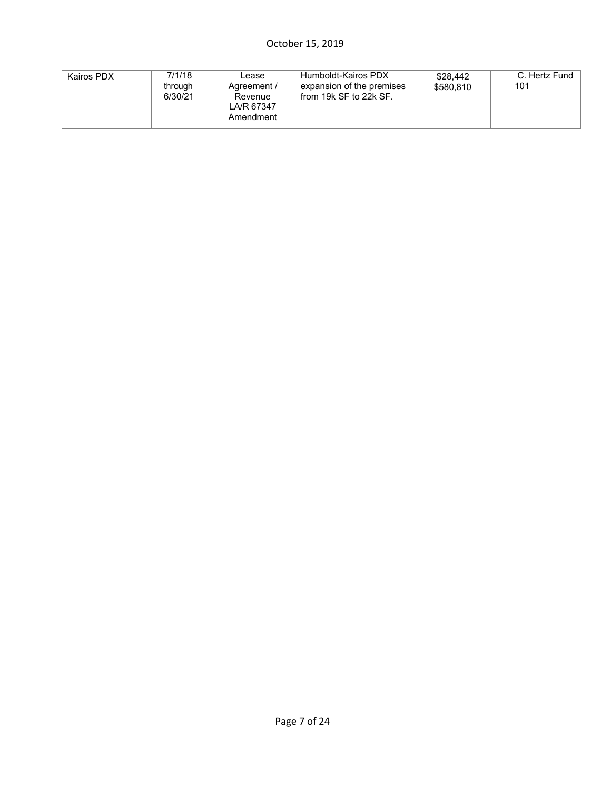| Kairos PDX | 7/1/18<br>through<br>6/30/21 | Lease<br>Agreement /<br>Revenue<br>LA/R 67347<br>Amendment | Humboldt-Kairos PDX<br>expansion of the premises<br>from 19k SF to 22k SF. | \$28,442<br>\$580.810 | C. Hertz Fund<br>101 |
|------------|------------------------------|------------------------------------------------------------|----------------------------------------------------------------------------|-----------------------|----------------------|
|------------|------------------------------|------------------------------------------------------------|----------------------------------------------------------------------------|-----------------------|----------------------|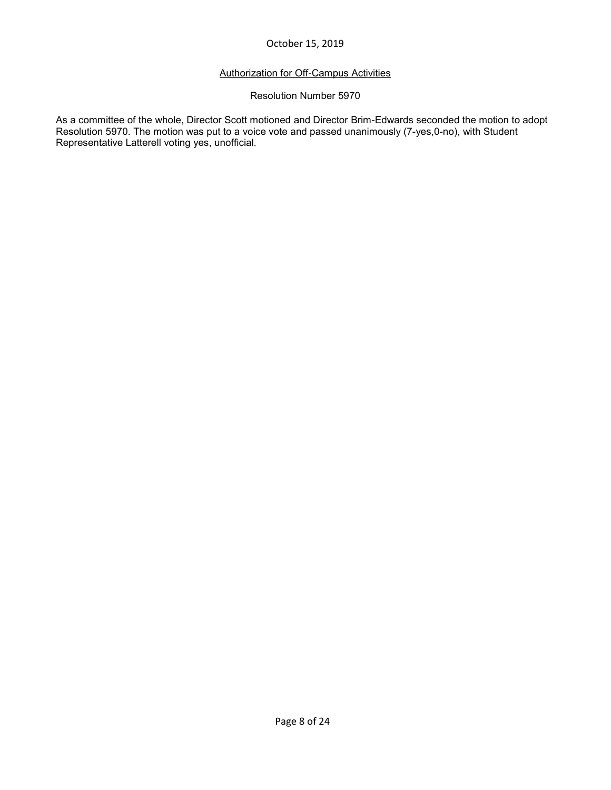# Authorization for Off-Campus Activities

#### Resolution Number 5970

As a committee of the whole, Director Scott motioned and Director Brim-Edwards seconded the motion to adopt Resolution 5970. The motion was put to a voice vote and passed unanimously (7-yes,0-no), with Student Representative Latterell voting yes, unofficial.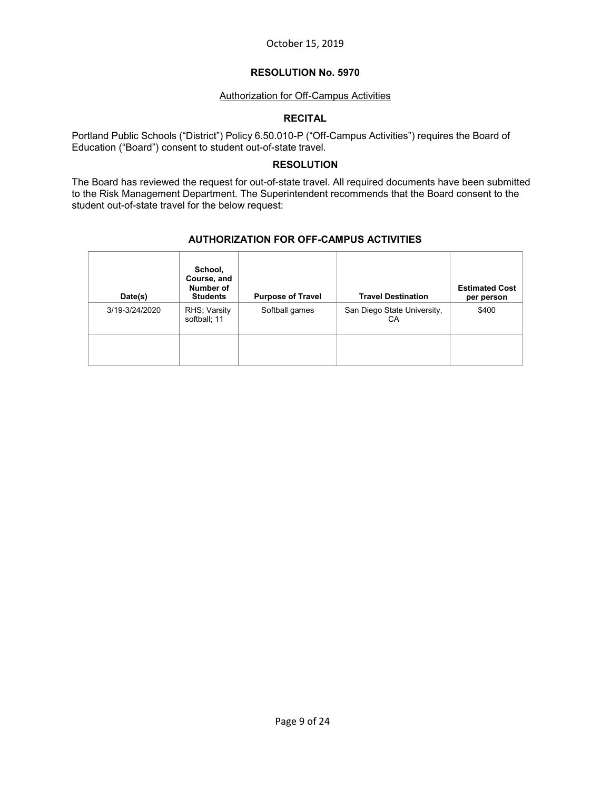# **RESOLUTION No. 5970**

# Authorization for Off-Campus Activities

# **RECITAL**

Portland Public Schools ("District") Policy 6.50.010-P ("Off-Campus Activities") requires the Board of Education ("Board") consent to student out-of-state travel.

# **RESOLUTION**

The Board has reviewed the request for out-of-state travel. All required documents have been submitted to the Risk Management Department. The Superintendent recommends that the Board consent to the student out-of-state travel for the below request:

# **AUTHORIZATION FOR OFF-CAMPUS ACTIVITIES**

<span id="page-7-0"></span>

| Date(s)        | School,<br>Course, and<br>Number of<br><b>Students</b> | <b>Purpose of Travel</b> | <b>Travel Destination</b>         | <b>Estimated Cost</b><br>per person |
|----------------|--------------------------------------------------------|--------------------------|-----------------------------------|-------------------------------------|
| 3/19-3/24/2020 | RHS; Varsity<br>softball; 11                           | Softball games           | San Diego State University,<br>СA | \$400                               |
|                |                                                        |                          |                                   |                                     |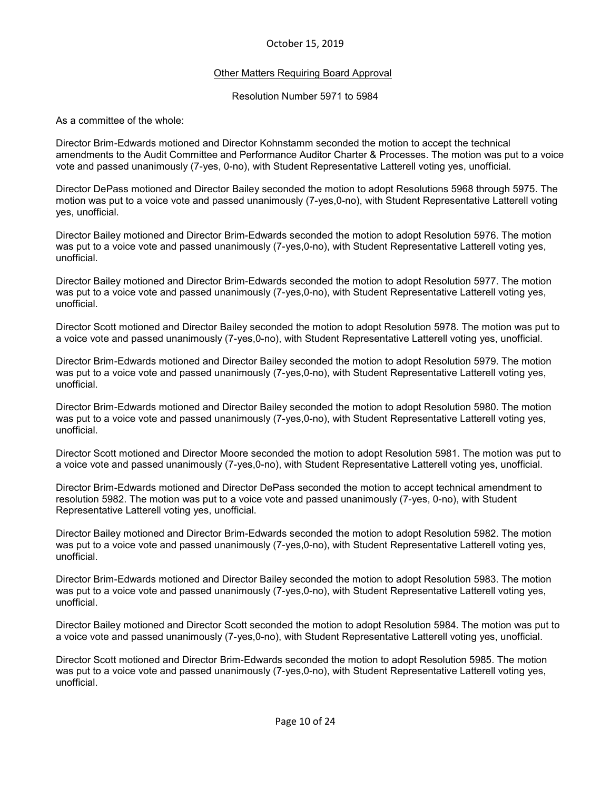#### **Other Matters Requiring Board Approval**

Resolution Number 5971 to 5984

As a committee of the whole:

Director Brim-Edwards motioned and Director Kohnstamm seconded the motion to accept the technical amendments to the Audit Committee and Performance Auditor Charter & Processes. The motion was put to a voice vote and passed unanimously (7-yes, 0-no), with Student Representative Latterell voting yes, unofficial.

Director DePass motioned and Director Bailey seconded the motion to adopt Resolutions 5968 through 5975. The motion was put to a voice vote and passed unanimously (7-yes,0-no), with Student Representative Latterell voting yes, unofficial.

Director Bailey motioned and Director Brim-Edwards seconded the motion to adopt Resolution 5976. The motion was put to a voice vote and passed unanimously (7-yes,0-no), with Student Representative Latterell voting yes, unofficial.

Director Bailey motioned and Director Brim-Edwards seconded the motion to adopt Resolution 5977. The motion was put to a voice vote and passed unanimously (7-yes,0-no), with Student Representative Latterell voting yes, unofficial.

Director Scott motioned and Director Bailey seconded the motion to adopt Resolution 5978. The motion was put to a voice vote and passed unanimously (7-yes,0-no), with Student Representative Latterell voting yes, unofficial.

Director Brim-Edwards motioned and Director Bailey seconded the motion to adopt Resolution 5979. The motion was put to a voice vote and passed unanimously (7-yes,0-no), with Student Representative Latterell voting yes, unofficial.

Director Brim-Edwards motioned and Director Bailey seconded the motion to adopt Resolution 5980. The motion was put to a voice vote and passed unanimously (7-yes,0-no), with Student Representative Latterell voting yes, unofficial.

Director Scott motioned and Director Moore seconded the motion to adopt Resolution 5981. The motion was put to a voice vote and passed unanimously (7-yes,0-no), with Student Representative Latterell voting yes, unofficial.

Director Brim-Edwards motioned and Director DePass seconded the motion to accept technical amendment to resolution 5982. The motion was put to a voice vote and passed unanimously (7-yes, 0-no), with Student Representative Latterell voting yes, unofficial.

Director Bailey motioned and Director Brim-Edwards seconded the motion to adopt Resolution 5982. The motion was put to a voice vote and passed unanimously (7-yes,0-no), with Student Representative Latterell voting yes, unofficial.

Director Brim-Edwards motioned and Director Bailey seconded the motion to adopt Resolution 5983. The motion was put to a voice vote and passed unanimously (7-yes,0-no), with Student Representative Latterell voting yes, unofficial.

Director Bailey motioned and Director Scott seconded the motion to adopt Resolution 5984. The motion was put to a voice vote and passed unanimously (7-yes,0-no), with Student Representative Latterell voting yes, unofficial.

Director Scott motioned and Director Brim-Edwards seconded the motion to adopt Resolution 5985. The motion was put to a voice vote and passed unanimously (7-yes,0-no), with Student Representative Latterell voting yes, unofficial.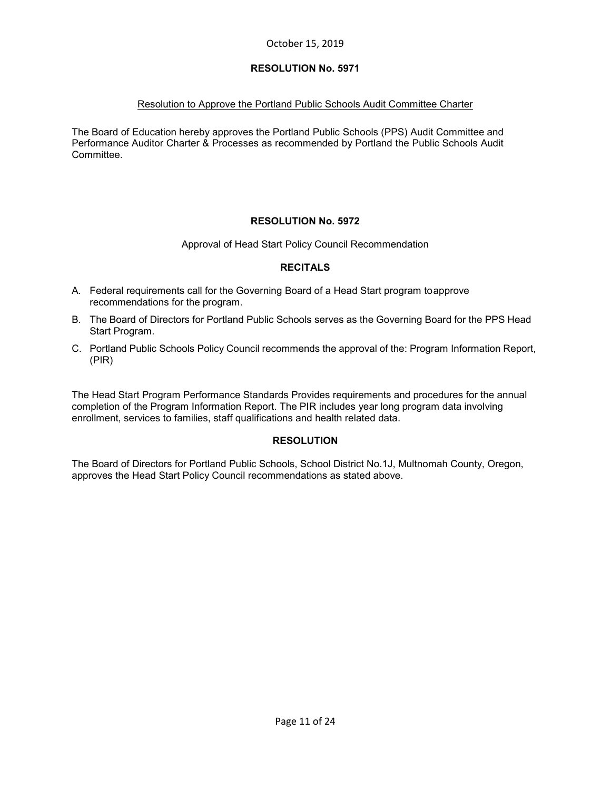# Resolution to Approve the Portland Public Schools Audit Committee Charter

The Board of Education hereby approves the Portland Public Schools (PPS) Audit Committee and Performance Auditor Charter & Processes as recommended by Portland the Public Schools Audit Committee.

# **RESOLUTION No. 5972**

Approval of Head Start Policy Council Recommendation

# **RECITALS**

- A. Federal requirements call for the Governing Board of a Head Start program toapprove recommendations for the program.
- B. The Board of Directors for Portland Public Schools serves as the Governing Board for the PPS Head Start Program.
- C. Portland Public Schools Policy Council recommends the approval of the: Program Information Report, (PIR)

The Head Start Program Performance Standards Provides requirements and procedures for the annual completion of the Program Information Report. The PIR includes year long program data involving enrollment, services to families, staff qualifications and health related data.

# **RESOLUTION**

The Board of Directors for Portland Public Schools, School District No.1J, Multnomah County, Oregon, approves the Head Start Policy Council recommendations as stated above.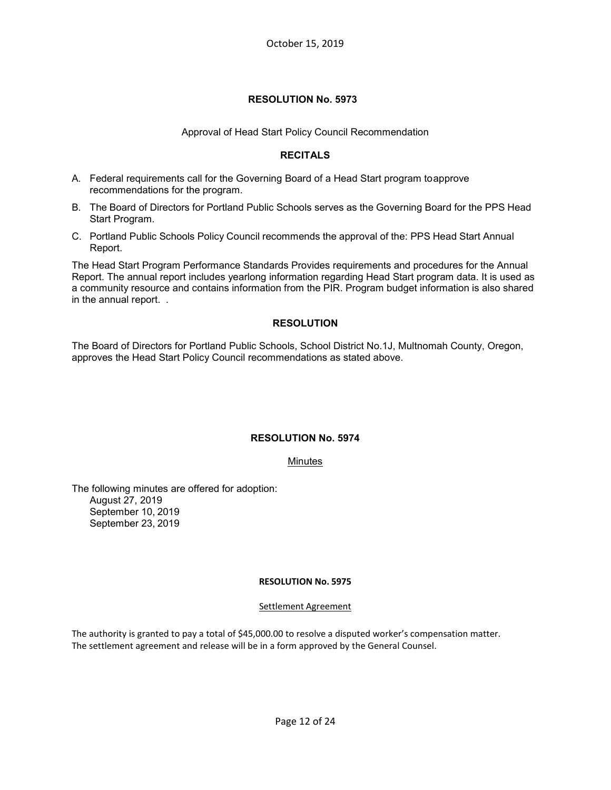#### Approval of Head Start Policy Council Recommendation

#### **RECITALS**

- A. Federal requirements call for the Governing Board of a Head Start program toapprove recommendations for the program.
- B. The Board of Directors for Portland Public Schools serves as the Governing Board for the PPS Head Start Program.
- C. Portland Public Schools Policy Council recommends the approval of the: PPS Head Start Annual Report.

The Head Start Program Performance Standards Provides requirements and procedures for the Annual Report. The annual report includes yearlong information regarding Head Start program data. It is used as a community resource and contains information from the PIR. Program budget information is also shared in the annual report. .

# **RESOLUTION**

The Board of Directors for Portland Public Schools, School District No.1J, Multnomah County, Oregon, approves the Head Start Policy Council recommendations as stated above.

#### **RESOLUTION No. 5974**

#### Minutes

The following minutes are offered for adoption: August 27, 2019 September 10, 2019 September 23, 2019

#### **RESOLUTION No. 5975**

#### Settlement Agreement

The authority is granted to pay a total of \$45,000.00 to resolve a disputed worker's compensation matter. The settlement agreement and release will be in a form approved by the General Counsel.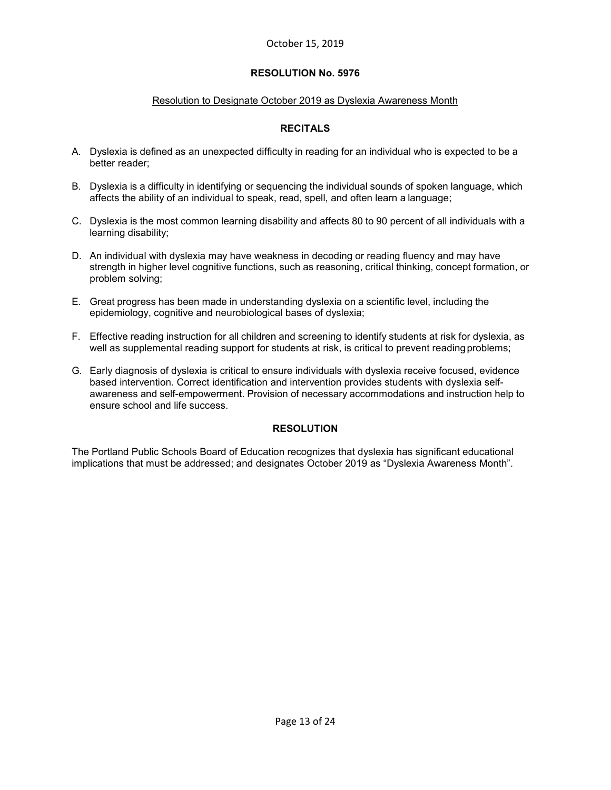#### Resolution to Designate October 2019 as Dyslexia Awareness Month

# **RECITALS**

- A. Dyslexia is defined as an unexpected difficulty in reading for an individual who is expected to be a better reader;
- B. Dyslexia is a difficulty in identifying or sequencing the individual sounds of spoken language, which affects the ability of an individual to speak, read, spell, and often learn a language;
- C. Dyslexia is the most common learning disability and affects 80 to 90 percent of all individuals with a learning disability;
- D. An individual with dyslexia may have weakness in decoding or reading fluency and may have strength in higher level cognitive functions, such as reasoning, critical thinking, concept formation, or problem solving;
- E. Great progress has been made in understanding dyslexia on a scientific level, including the epidemiology, cognitive and neurobiological bases of dyslexia;
- F. Effective reading instruction for all children and screening to identify students at risk for dyslexia, as well as supplemental reading support for students at risk, is critical to prevent readingproblems;
- G. Early diagnosis of dyslexia is critical to ensure individuals with dyslexia receive focused, evidence based intervention. Correct identification and intervention provides students with dyslexia selfawareness and self-empowerment. Provision of necessary accommodations and instruction help to ensure school and life success.

# **RESOLUTION**

The Portland Public Schools Board of Education recognizes that dyslexia has significant educational implications that must be addressed; and designates October 2019 as "Dyslexia Awareness Month".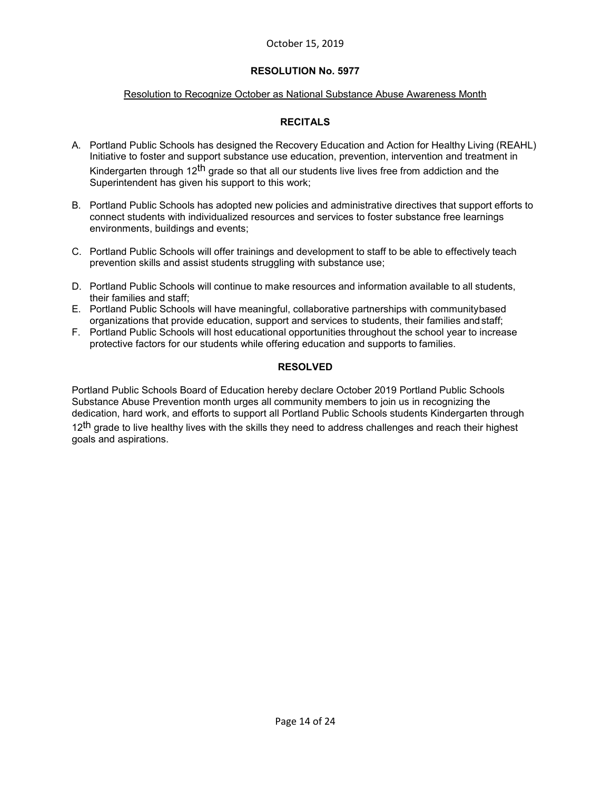# **RESOLUTION No. 5977**

### Resolution to Recognize October as National Substance Abuse Awareness Month

# **RECITALS**

- A. Portland Public Schools has designed the Recovery Education and Action for Healthy Living (REAHL) Initiative to foster and support substance use education, prevention, intervention and treatment in Kindergarten through 12<sup>th</sup> grade so that all our students live lives free from addiction and the Superintendent has given his support to this work;
- B. Portland Public Schools has adopted new policies and administrative directives that support efforts to connect students with individualized resources and services to foster substance free learnings environments, buildings and events;
- C. Portland Public Schools will offer trainings and development to staff to be able to effectively teach prevention skills and assist students struggling with substance use;
- D. Portland Public Schools will continue to make resources and information available to all students, their families and staff;
- E. Portland Public Schools will have meaningful, collaborative partnerships with communitybased organizations that provide education, support and services to students, their families andstaff;
- F. Portland Public Schools will host educational opportunities throughout the school year to increase protective factors for our students while offering education and supports to families.

#### **RESOLVED**

Portland Public Schools Board of Education hereby declare October 2019 Portland Public Schools Substance Abuse Prevention month urges all community members to join us in recognizing the dedication, hard work, and efforts to support all Portland Public Schools students Kindergarten through 12<sup>th</sup> grade to live healthy lives with the skills they need to address challenges and reach their highest goals and aspirations.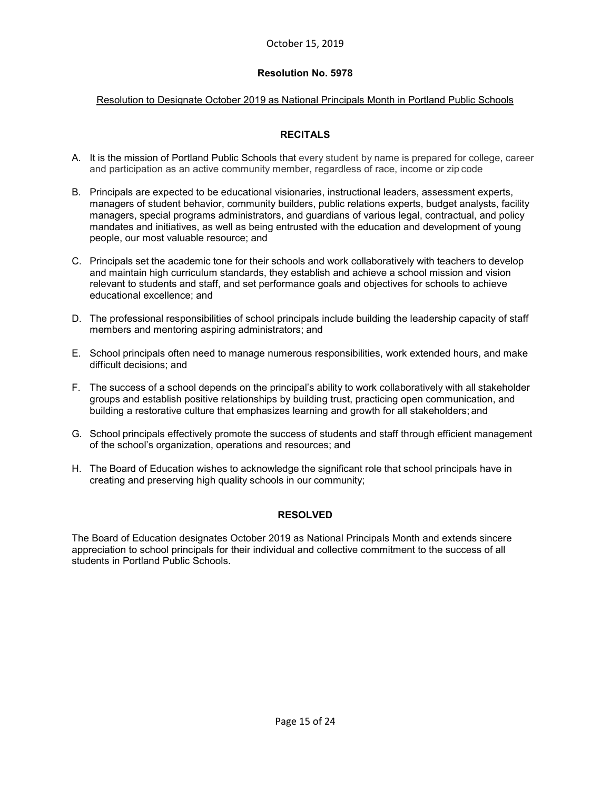#### **Resolution No. 5978**

#### Resolution to Designate October 2019 as National Principals Month in Portland Public Schools

# **RECITALS**

- A. It is the mission of Portland Public Schools that every student by name is prepared for college, career and participation as an active community member, regardless of race, income or zip code
- B. Principals are expected to be educational visionaries, instructional leaders, assessment experts, managers of student behavior, community builders, public relations experts, budget analysts, facility managers, special programs administrators, and guardians of various legal, contractual, and policy mandates and initiatives, as well as being entrusted with the education and development of young people, our most valuable resource; and
- C. Principals set the academic tone for their schools and work collaboratively with teachers to develop and maintain high curriculum standards, they establish and achieve a school mission and vision relevant to students and staff, and set performance goals and objectives for schools to achieve educational excellence; and
- D. The professional responsibilities of school principals include building the leadership capacity of staff members and mentoring aspiring administrators; and
- E. School principals often need to manage numerous responsibilities, work extended hours, and make difficult decisions; and
- F. The success of a school depends on the principal's ability to work collaboratively with all stakeholder groups and establish positive relationships by building trust, practicing open communication, and building a restorative culture that emphasizes learning and growth for all stakeholders; and
- G. School principals effectively promote the success of students and staff through efficient management of the school's organization, operations and resources; and
- H. The Board of Education wishes to acknowledge the significant role that school principals have in creating and preserving high quality schools in our community;

#### **RESOLVED**

The Board of Education designates October 2019 as National Principals Month and extends sincere appreciation to school principals for their individual and collective commitment to the success of all students in Portland Public Schools.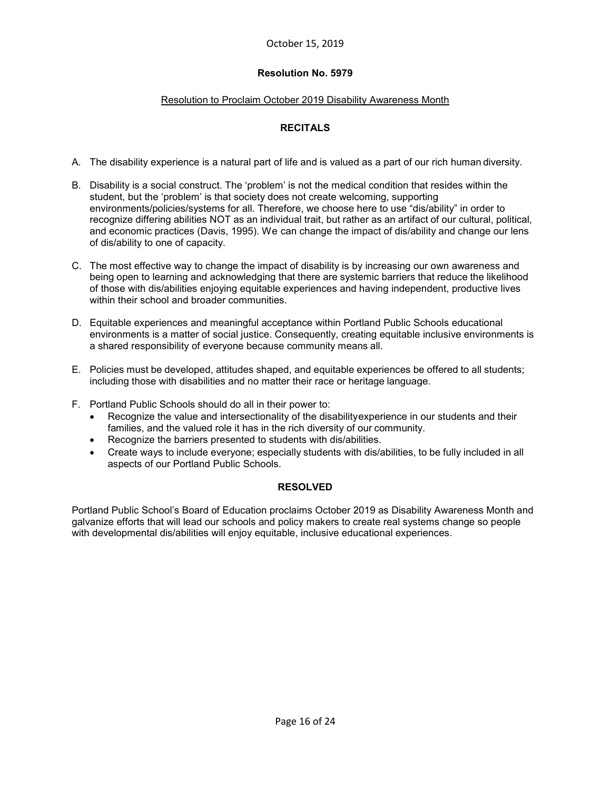#### **Resolution No. 5979**

#### Resolution to Proclaim October 2019 Disability Awareness Month

# **RECITALS**

- A. The disability experience is a natural part of life and is valued as a part of our rich human diversity.
- B. Disability is a social construct. The 'problem' is not the medical condition that resides within the student, but the 'problem' is that society does not create welcoming, supporting environments/policies/systems for all. Therefore, we choose here to use "dis/ability" in order to recognize differing abilities NOT as an individual trait, but rather as an artifact of our cultural, political, and economic practices (Davis, 1995). We can change the impact of dis/ability and change our lens of dis/ability to one of capacity.
- C. The most effective way to change the impact of disability is by increasing our own awareness and being open to learning and acknowledging that there are systemic barriers that reduce the likelihood of those with dis/abilities enjoying equitable experiences and having independent, productive lives within their school and broader communities.
- D. Equitable experiences and meaningful acceptance within Portland Public Schools educational environments is a matter of social justice. Consequently, creating equitable inclusive environments is a shared responsibility of everyone because community means all.
- E. Policies must be developed, attitudes shaped, and equitable experiences be offered to all students; including those with disabilities and no matter their race or heritage language.
- F. Portland Public Schools should do all in their power to:
	- Recognize the value and intersectionality of the disabilityexperience in our students and their families, and the valued role it has in the rich diversity of our community.
	- Recognize the barriers presented to students with dis/abilities.
	- Create ways to include everyone; especially students with dis/abilities, to be fully included in all aspects of our Portland Public Schools.

#### **RESOLVED**

Portland Public School's Board of Education proclaims October 2019 as Disability Awareness Month and galvanize efforts that will lead our schools and policy makers to create real systems change so people with developmental dis/abilities will enjoy equitable, inclusive educational experiences.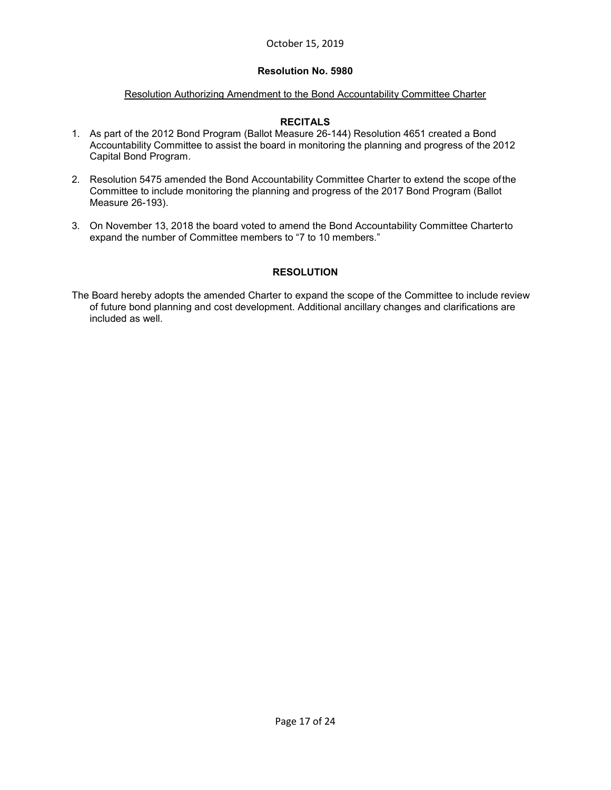#### **Resolution No. 5980**

#### Resolution Authorizing Amendment to the Bond Accountability Committee Charter

#### **RECITALS**

- 1. As part of the 2012 Bond Program (Ballot Measure 26-144) Resolution 4651 created a Bond Accountability Committee to assist the board in monitoring the planning and progress of the 2012 Capital Bond Program.
- 2. Resolution 5475 amended the Bond Accountability Committee Charter to extend the scope ofthe Committee to include monitoring the planning and progress of the 2017 Bond Program (Ballot Measure 26-193).
- 3. On November 13, 2018 the board voted to amend the Bond Accountability Committee Charterto expand the number of Committee members to "7 to 10 members."

# **RESOLUTION**

The Board hereby adopts the amended Charter to expand the scope of the Committee to include review of future bond planning and cost development. Additional ancillary changes and clarifications are included as well.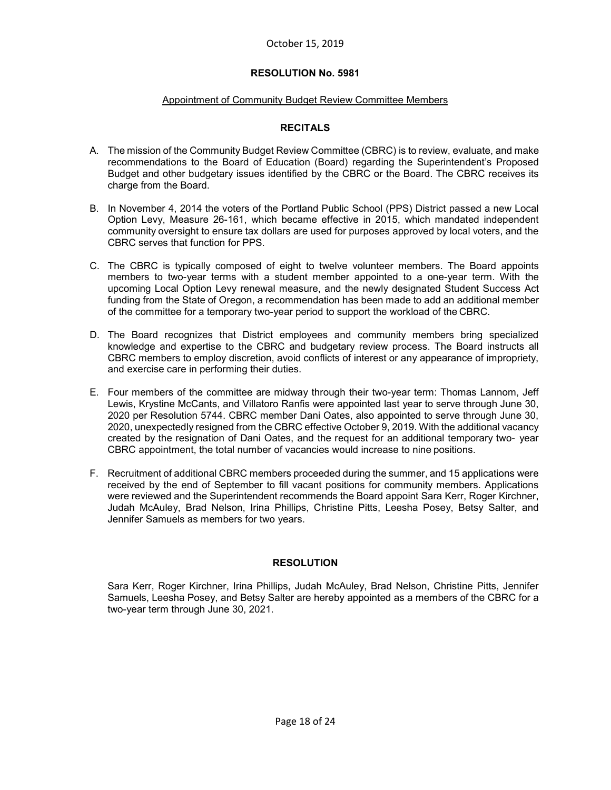#### Appointment of Community Budget Review Committee Members

#### **RECITALS**

- A. The mission of the Community Budget Review Committee (CBRC) is to review, evaluate, and make recommendations to the Board of Education (Board) regarding the Superintendent's Proposed Budget and other budgetary issues identified by the CBRC or the Board. The CBRC receives its charge from the Board.
- B. In November 4, 2014 the voters of the Portland Public School (PPS) District passed a new Local Option Levy, Measure 26-161, which became effective in 2015, which mandated independent community oversight to ensure tax dollars are used for purposes approved by local voters, and the CBRC serves that function for PPS.
- C. The CBRC is typically composed of eight to twelve volunteer members. The Board appoints members to two-year terms with a student member appointed to a one-year term. With the upcoming Local Option Levy renewal measure, and the newly designated Student Success Act funding from the State of Oregon, a recommendation has been made to add an additional member of the committee for a temporary two-year period to support the workload of the CBRC.
- D. The Board recognizes that District employees and community members bring specialized knowledge and expertise to the CBRC and budgetary review process. The Board instructs all CBRC members to employ discretion, avoid conflicts of interest or any appearance of impropriety, and exercise care in performing their duties.
- E. Four members of the committee are midway through their two-year term: Thomas Lannom, Jeff Lewis, Krystine McCants, and Villatoro Ranfis were appointed last year to serve through June 30, 2020 per Resolution 5744. CBRC member Dani Oates, also appointed to serve through June 30, 2020, unexpectedly resigned from the CBRC effective October 9, 2019. With the additional vacancy created by the resignation of Dani Oates, and the request for an additional temporary two- year CBRC appointment, the total number of vacancies would increase to nine positions.
- F. Recruitment of additional CBRC members proceeded during the summer, and 15 applications were received by the end of September to fill vacant positions for community members. Applications were reviewed and the Superintendent recommends the Board appoint Sara Kerr, Roger Kirchner, Judah McAuley, Brad Nelson, Irina Phillips, Christine Pitts, Leesha Posey, Betsy Salter, and Jennifer Samuels as members for two years.

#### **RESOLUTION**

Sara Kerr, Roger Kirchner, Irina Phillips, Judah McAuley, Brad Nelson, Christine Pitts, Jennifer Samuels, Leesha Posey, and Betsy Salter are hereby appointed as a members of the CBRC for a two-year term through June 30, 2021.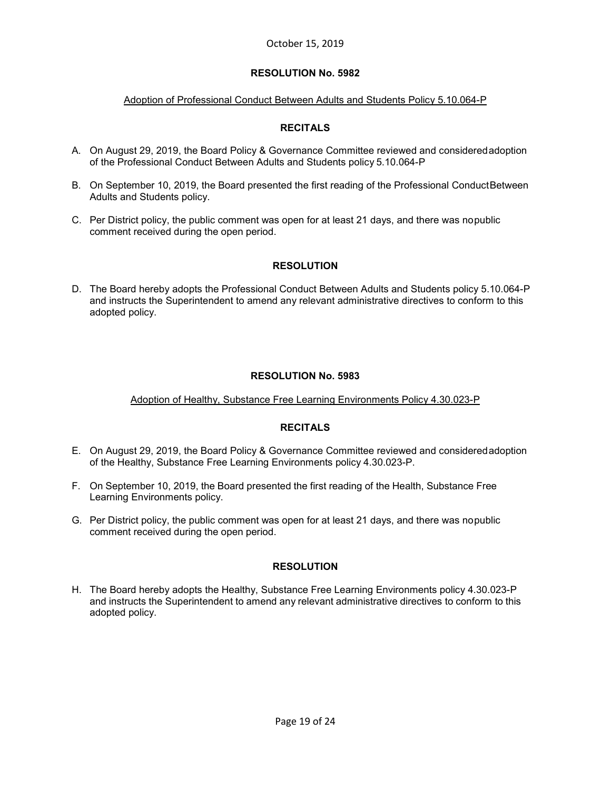# Adoption of Professional Conduct Between Adults and Students Policy 5.10.064-P

# **RECITALS**

- A. On August 29, 2019, the Board Policy & Governance Committee reviewed and consideredadoption of the Professional Conduct Between Adults and Students policy 5.10.064-P
- B. On September 10, 2019, the Board presented the first reading of the Professional ConductBetween Adults and Students policy.
- C. Per District policy, the public comment was open for at least 21 days, and there was nopublic comment received during the open period.

# **RESOLUTION**

D. The Board hereby adopts the Professional Conduct Between Adults and Students policy 5.10.064-P and instructs the Superintendent to amend any relevant administrative directives to conform to this adopted policy.

# **RESOLUTION No. 5983**

# Adoption of Healthy, Substance Free Learning Environments Policy 4.30.023-P

# **RECITALS**

- E. On August 29, 2019, the Board Policy & Governance Committee reviewed and consideredadoption of the Healthy, Substance Free Learning Environments policy 4.30.023-P.
- F. On September 10, 2019, the Board presented the first reading of the Health, Substance Free Learning Environments policy.
- G. Per District policy, the public comment was open for at least 21 days, and there was nopublic comment received during the open period.

#### **RESOLUTION**

H. The Board hereby adopts the Healthy, Substance Free Learning Environments policy 4.30.023-P and instructs the Superintendent to amend any relevant administrative directives to conform to this adopted policy.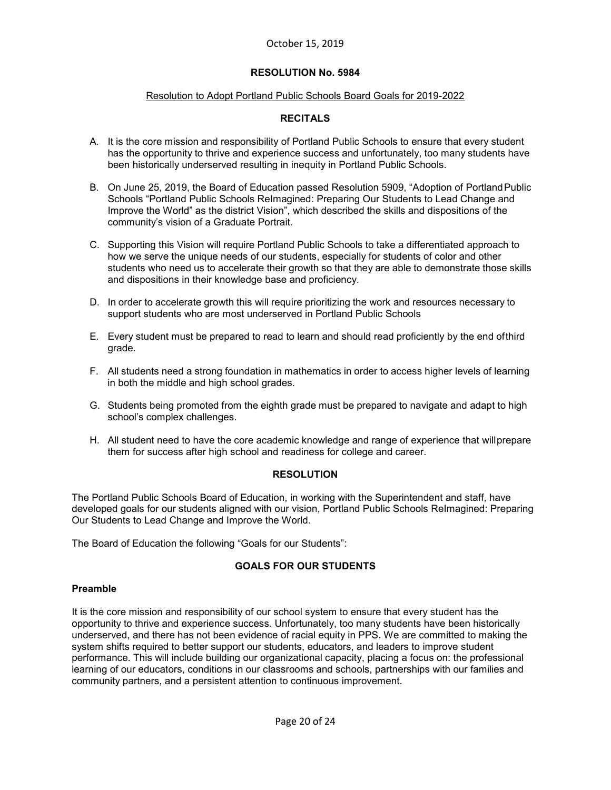#### Resolution to Adopt Portland Public Schools Board Goals for 2019-2022

# **RECITALS**

- A. It is the core mission and responsibility of Portland Public Schools to ensure that every student has the opportunity to thrive and experience success and unfortunately, too many students have been historically underserved resulting in inequity in Portland Public Schools.
- B. On June 25, 2019, the Board of Education passed Resolution 5909, "Adoption of Portland Public Schools "Portland Public Schools ReImagined: Preparing Our Students to Lead Change and Improve the World" as the district Vision", which described the skills and dispositions of the community's vision of a Graduate Portrait.
- C. Supporting this Vision will require Portland Public Schools to take a differentiated approach to how we serve the unique needs of our students, especially for students of color and other students who need us to accelerate their growth so that they are able to demonstrate those skills and dispositions in their knowledge base and proficiency.
- D. In order to accelerate growth this will require prioritizing the work and resources necessary to support students who are most underserved in Portland Public Schools
- E. Every student must be prepared to read to learn and should read proficiently by the end ofthird grade.
- F. All students need a strong foundation in mathematics in order to access higher levels of learning in both the middle and high school grades.
- G. Students being promoted from the eighth grade must be prepared to navigate and adapt to high school's complex challenges.
- H. All student need to have the core academic knowledge and range of experience that willprepare them for success after high school and readiness for college and career.

#### **RESOLUTION**

The Portland Public Schools Board of Education, in working with the Superintendent and staff, have developed goals for our students aligned with our vision, Portland Public Schools ReImagined: Preparing Our Students to Lead Change and Improve the World.

The Board of Education the following "Goals for our Students":

# **GOALS FOR OUR STUDENTS**

#### **Preamble**

It is the core mission and responsibility of our school system to ensure that every student has the opportunity to thrive and experience success. Unfortunately, too many students have been historically underserved, and there has not been evidence of racial equity in PPS. We are committed to making the system shifts required to better support our students, educators, and leaders to improve student performance. This will include building our organizational capacity, placing a focus on: the professional learning of our educators, conditions in our classrooms and schools, partnerships with our families and community partners, and a persistent attention to continuous improvement.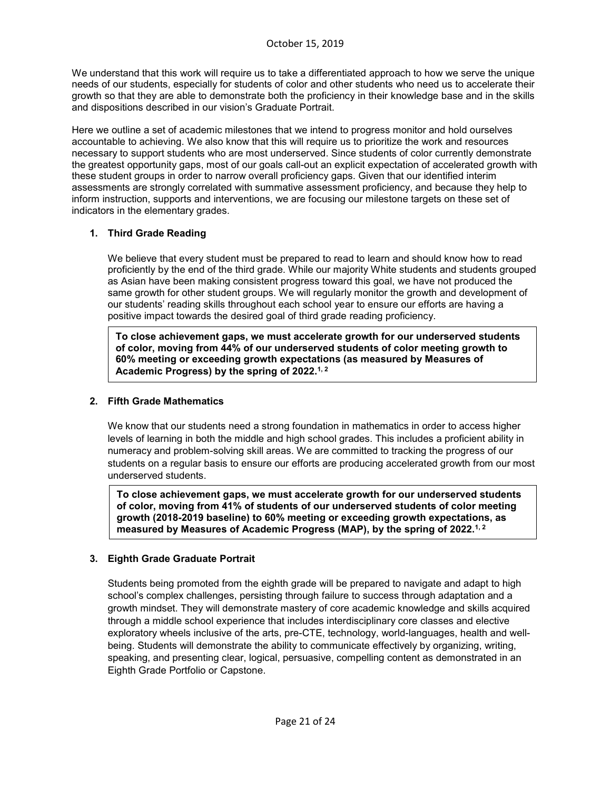We understand that this work will require us to take a differentiated approach to how we serve the unique needs of our students, especially for students of color and other students who need us to accelerate their growth so that they are able to demonstrate both the proficiency in their knowledge base and in the skills and dispositions described in our vision's [Graduate](https://www.pps.net/cms/lib/OR01913224/Centricity/Domain/219/PPS_Vision_Final.pdf) Portrait.

Here we outline a set of academic milestones that we intend to progress monitor and hold ourselves accountable to achieving. We also know that this will require us to prioritize the work and resources necessary to support students who are most underserved. Since students of color currently demonstrate the greatest opportunity gaps, most of our goals call-out an explicit expectation of accelerated growth with these student groups in order to narrow overall proficiency gaps. Given that our identified interim assessments are strongly correlated with summative assessment proficiency, and because they help to inform instruction, supports and interventions, we are focusing our milestone targets on these set of indicators in the elementary grades.

# **1. Third Grade Reading**

We believe that every student must be prepared to read to learn and should know how to read proficiently by the end of the third grade. While our majority White students and students grouped as Asian have been making consistent progress toward this goal, we have not produced the same growth for other student groups. We will regularly monitor the growth and development of our students' reading skills throughout each school year to ensure our efforts are having a positive impact towards the desired goal of third grade reading proficiency.

**To close achievement gaps, we must accelerate growth for our underserved students of color, moving from 44% of our underserved students of color meeting growth to 60% meeting or exceeding growth expectations (as measured by Measures of Academic Progress) by the spring of 2022.1, 2**

# **2. Fifth Grade Mathematics**

We know that our students need a strong foundation in mathematics in order to access higher levels of learning in both the middle and high school grades. This includes a proficient ability in numeracy and problem-solving skill areas. We are committed to tracking the progress of our students on a regular basis to ensure our efforts are producing accelerated growth from our most underserved students.

**To close achievement gaps, we must accelerate growth for our underserved students of color, moving from 41% of students of our underserved students of color meeting growth (2018-2019 baseline) to 60% meeting or exceeding growth expectations, as measured by Measures of Academic Progress (MAP), by the spring of 2022.1, 2**

#### **3. Eighth Grade Graduate Portrait**

Students being promoted from the eighth grade will be prepared to navigate and adapt to high school's complex challenges, persisting through failure to success through adaptation and a growth mindset. They will demonstrate mastery of core academic knowledge and skills acquired through a middle school experience that includes interdisciplinary core classes and elective exploratory wheels inclusive of the arts, pre-CTE, technology, world-languages, health and wellbeing. Students will demonstrate the ability to communicate effectively by organizing, writing, speaking, and presenting clear, logical, persuasive, compelling content as demonstrated in an Eighth Grade Portfolio or Capstone.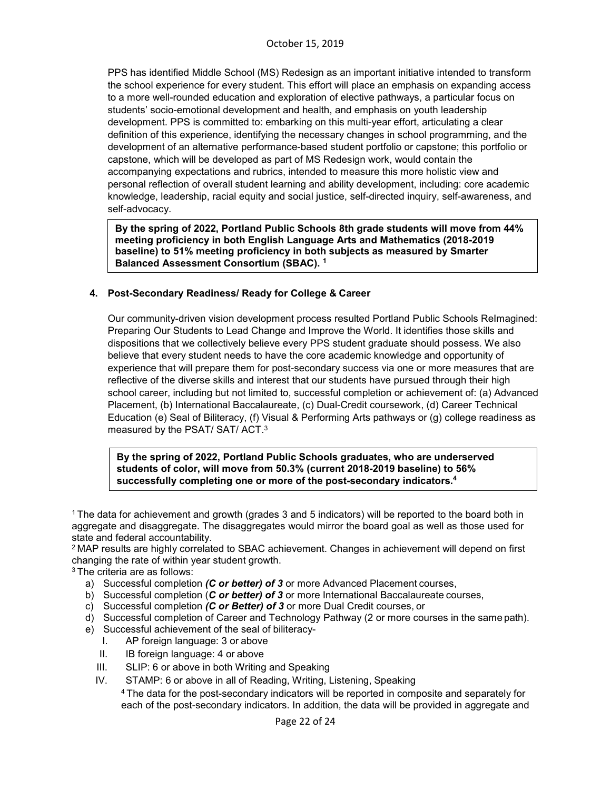PPS has identified Middle School (MS) Redesign as an important initiative intended to transform the school experience for every student. This effort will place an emphasis on expanding access to a more well-rounded education and exploration of elective pathways, a particular focus on students' socio-emotional development and health, and emphasis on youth leadership development. PPS is committed to: embarking on this multi-year effort, articulating a clear definition of this experience, identifying the necessary changes in school programming, and the development of an alternative performance-based student portfolio or capstone; this portfolio or capstone, which will be developed as part of MS Redesign work, would contain the accompanying expectations and rubrics, intended to measure this more holistic view and personal reflection of overall student learning and ability development, including: core academic knowledge, leadership, racial equity and social justice, self-directed inquiry, self-awareness, and self-advocacy.

**By the spring of 2022, Portland Public Schools 8th grade students will move from 44% meeting proficiency in both English Language Arts and Mathematics (2018-2019 baseline) to 51% meeting proficiency in both subjects as measured by Smarter Balanced Assessment Consortium (SBAC). 1**

#### **4. Post-Secondary Readiness/ Ready for College & Career**

Our community-driven vision development process resulted Portland Public Schools ReImagined: Preparing Our Students to Lead Change and Improve the World. It identifies those skills and dispositions that we collectively believe every PPS student graduate should possess. We also believe that every student needs to have the core academic knowledge and opportunity of experience that will prepare them for post-secondary success via one or more measures that are reflective of the diverse skills and interest that our students have pursued through their high school career, including but not limited to, successful completion or achievement of: (a) Advanced Placement, (b) International Baccalaureate, (c) Dual-Credit coursework, (d) Career Technical Education (e) Seal of Biliteracy, (f) Visual & Performing Arts pathways or (g) college readiness as measured by the PSAT/ SAT/ ACT.3

**By the spring of 2022, Portland Public Schools graduates, who are underserved students of color, will move from 50.3% (current 2018-2019 baseline) to 56% successfully completing one or more of the post-secondary indicators.4**

1 The data for achievement and growth (grades 3 and 5 indicators) will be reported to the board both in aggregate and disaggregate. The disaggregates would mirror the board goal as well as those used for state and federal accountability.

<sup>2</sup> MAP results are highly correlated to SBAC achievement. Changes in achievement will depend on first changing the rate of within year student growth.

3 The criteria are as follows:

- a) Successful completion *(C or better) of 3* or more Advanced Placement courses,
- b) Successful completion (*C or better) of 3* or more International Baccalaureate courses,
- c) Successful completion *(C or Better) of 3* or more Dual Credit courses, or
- d) Successful completion of Career and Technology Pathway (2 or more courses in the same path).
- e) Successful achievement of the seal of biliteracy-
	- I. AP foreign language: 3 or above
	- II. IB foreign language: 4 or above
	- III. SLIP: 6 or above in both Writing and Speaking
	- IV. STAMP: 6 or above in all of Reading, Writing, Listening, Speaking

4 The data for the post-secondary indicators will be reported in composite and separately for each of the post-secondary indicators. In addition, the data will be provided in aggregate and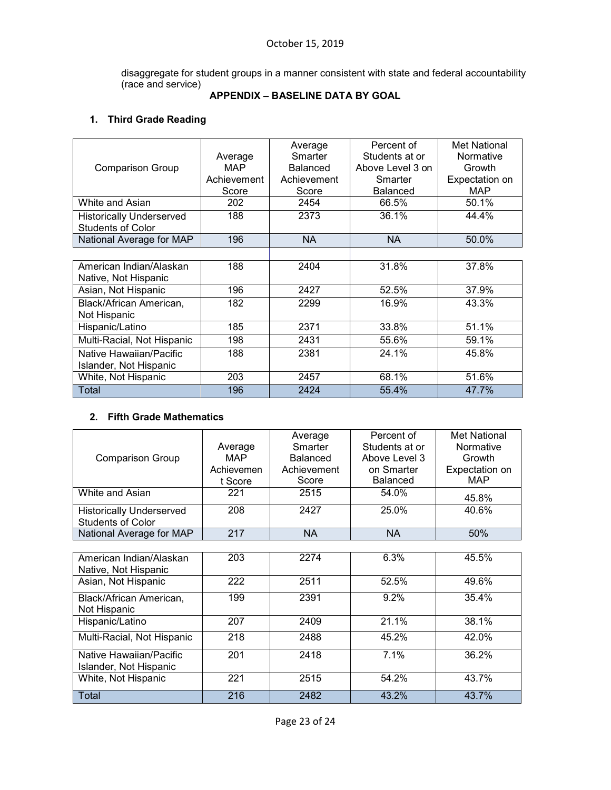disaggregate for student groups in a manner consistent with state and federal accountability (race and service)

# **APPENDIX – BASELINE DATA BY GOAL**

# **1. Third Grade Reading**

|                                 |             | Average     | Percent of       | Met National   |
|---------------------------------|-------------|-------------|------------------|----------------|
|                                 | Average     | Smarter     | Students at or   | Normative      |
| <b>Comparison Group</b>         | <b>MAP</b>  | Balanced    | Above Level 3 on | Growth         |
|                                 | Achievement | Achievement | Smarter          | Expectation on |
|                                 | Score       | Score       | <b>Balanced</b>  | <b>MAP</b>     |
| White and Asian                 | 202         | 2454        | 66.5%            | 50.1%          |
| <b>Historically Underserved</b> | 188         | 2373        | 36.1%            | 44.4%          |
| <b>Students of Color</b>        |             |             |                  |                |
| National Average for MAP        | 196         | <b>NA</b>   | <b>NA</b>        | 50.0%          |
|                                 |             |             |                  |                |
| American Indian/Alaskan         | 188         | 2404        | 31.8%            | 37.8%          |
| Native, Not Hispanic            |             |             |                  |                |
| Asian, Not Hispanic             | 196         | 2427        | 52.5%            | 37.9%          |
| Black/African American,         | 182         | 2299        | 16.9%            | 43.3%          |
| Not Hispanic                    |             |             |                  |                |
| Hispanic/Latino                 | 185         | 2371        | 33.8%            | 51.1%          |
| Multi-Racial, Not Hispanic      | 198         | 2431        | 55.6%            | 59.1%          |
| Native Hawaiian/Pacific         | 188         | 2381        | 24.1%            | 45.8%          |
| Islander, Not Hispanic          |             |             |                  |                |
| White, Not Hispanic             | 203         | 2457        | 68.1%            | 51.6%          |
| Total                           | 196         | 2424        | 55.4%            | 47.7%          |

# **2. Fifth Grade Mathematics**

| <b>Comparison Group</b>                                     | Average<br>MAP.<br>Achievemen<br>t Score | Average<br>Smarter<br><b>Balanced</b><br>Achievement<br>Score | Percent of<br>Students at or<br>Above Level 3<br>on Smarter<br><b>Balanced</b> | Met National<br>Normative<br>Growth<br>Expectation on<br><b>MAP</b> |
|-------------------------------------------------------------|------------------------------------------|---------------------------------------------------------------|--------------------------------------------------------------------------------|---------------------------------------------------------------------|
| White and Asian                                             | 221                                      | 2515                                                          | 54.0%                                                                          | 45.8%                                                               |
| <b>Historically Underserved</b><br><b>Students of Color</b> | 208                                      | 2427                                                          | 25.0%                                                                          | 40.6%                                                               |
| National Average for MAP                                    | 217                                      | <b>NA</b>                                                     | <b>NA</b>                                                                      | 50%                                                                 |
|                                                             |                                          |                                                               |                                                                                |                                                                     |
| American Indian/Alaskan<br>Native, Not Hispanic             | 203                                      | 2274                                                          | 6.3%                                                                           | 45.5%                                                               |
| Asian, Not Hispanic                                         | 222                                      | 2511                                                          | 52.5%                                                                          | 49.6%                                                               |
| Black/African American,<br>Not Hispanic                     | 199                                      | 2391                                                          | 9.2%                                                                           | 35.4%                                                               |
| Hispanic/Latino                                             | 207                                      | 2409                                                          | 21.1%                                                                          | 38.1%                                                               |
| Multi-Racial, Not Hispanic                                  | 218                                      | 2488                                                          | 45.2%                                                                          | 42.0%                                                               |
| Native Hawaiian/Pacific<br>Islander, Not Hispanic           | 201                                      | 2418                                                          | 7.1%                                                                           | 36.2%                                                               |
| White, Not Hispanic                                         | 221                                      | 2515                                                          | 54.2%                                                                          | 43.7%                                                               |
| Total                                                       | 216                                      | 2482                                                          | 43.2%                                                                          | 43.7%                                                               |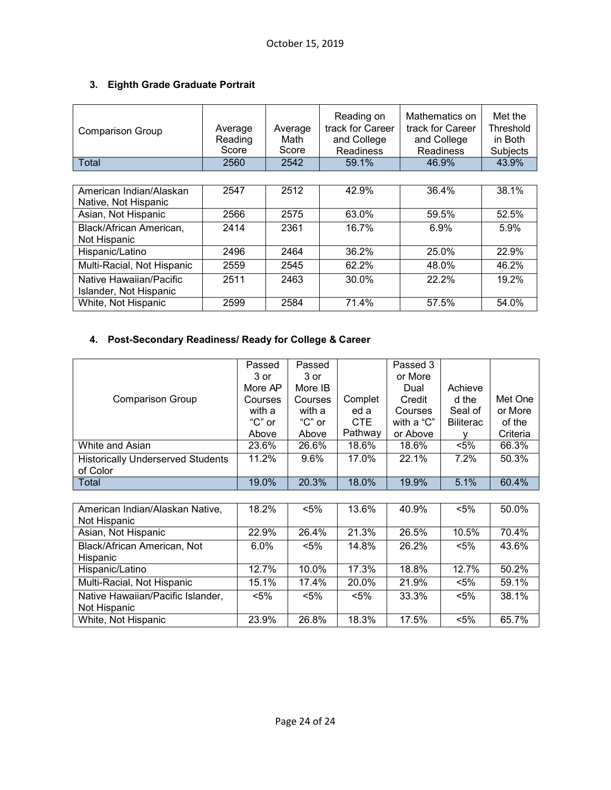# **3. Eighth Grade Graduate Portrait**

| <b>Comparison Group</b>                           | Average<br>Reading<br>Score | Average<br>Math<br>Score | Reading on<br>track for Career<br>and College<br><b>Readiness</b> | Mathematics on<br>track for Career<br>and College<br><b>Readiness</b> | Met the<br>Threshold<br>in Both<br>Subjects |
|---------------------------------------------------|-----------------------------|--------------------------|-------------------------------------------------------------------|-----------------------------------------------------------------------|---------------------------------------------|
| Total                                             | 2560                        | 2542                     | 59.1%                                                             | 46.9%                                                                 | 43.9%                                       |
|                                                   |                             |                          |                                                                   |                                                                       |                                             |
| American Indian/Alaskan<br>Native, Not Hispanic   | 2547                        | 2512                     | 42.9%                                                             | 36.4%                                                                 | 38.1%                                       |
| Asian, Not Hispanic                               | 2566                        | 2575                     | 63.0%                                                             | 59.5%                                                                 | 52.5%                                       |
| Black/African American,<br>Not Hispanic           | 2414                        | 2361                     | 16.7%                                                             | 6.9%                                                                  | 5.9%                                        |
| Hispanic/Latino                                   | 2496                        | 2464                     | 36.2%                                                             | 25.0%                                                                 | 22.9%                                       |
| Multi-Racial, Not Hispanic                        | 2559                        | 2545                     | 62.2%                                                             | 48.0%                                                                 | 46.2%                                       |
| Native Hawaiian/Pacific<br>Islander, Not Hispanic | 2511                        | 2463                     | 30.0%                                                             | 22.2%                                                                 | 19.2%                                       |
| White, Not Hispanic                               | 2599                        | 2584                     | 71.4%                                                             | 57.5%                                                                 | 54.0%                                       |

# **4. Post-Secondary Readiness/ Ready for College & Career**

|                                          | Passed     | Passed  |         | Passed 3   |                  |          |
|------------------------------------------|------------|---------|---------|------------|------------------|----------|
|                                          | 3 or       | 3 or    |         | or More    |                  |          |
|                                          | More AP    | More IB |         | Dual       | Achieve          |          |
| <b>Comparison Group</b>                  | Courses    | Courses | Complet | Credit     | d the            | Met One  |
|                                          | with a     | with a  | ed a    | Courses    | Seal of          | or More  |
|                                          | " $C$ " or | "C" or  | CTE.    | with a "C" | <b>Biliterac</b> | of the   |
|                                          | Above      | Above   | Pathway | or Above   |                  | Criteria |
| White and Asian                          | 23.6%      | 26.6%   | 18.6%   | 18.6%      | $< 5\%$          | 66.3%    |
| <b>Historically Underserved Students</b> | 11.2%      | 9.6%    | 17.0%   | 22.1%      | 7.2%             | 50.3%    |
| of Color                                 |            |         |         |            |                  |          |
| Total                                    | 19.0%      | 20.3%   | 18.0%   | 19.9%      | 5.1%             | 60.4%    |

| American Indian/Alaskan Native,   | 18.2%   | $< 5\%$ | 13.6%   | 40.9% | $< 5\%$ | 50.0%    |
|-----------------------------------|---------|---------|---------|-------|---------|----------|
| Not Hispanic                      |         |         |         |       |         |          |
| Asian, Not Hispanic               | 22.9%   | 26.4%   | 21.3%   | 26.5% | 10.5%   | 70.4%    |
| Black/African American, Not       | $6.0\%$ | $< 5\%$ | 14.8%   | 26.2% | $< 5\%$ | 43.6%    |
| Hispanic                          |         |         |         |       |         |          |
| Hispanic/Latino                   | 12.7%   | 10.0%   | 17.3%   | 18.8% | 12.7%   | 50.2%    |
| Multi-Racial, Not Hispanic        | 15.1%   | 17.4%   | 20.0%   | 21.9% | $< 5\%$ | 59.1%    |
| Native Hawaiian/Pacific Islander, | $< 5\%$ | $< 5\%$ | $< 5\%$ | 33.3% | $< 5\%$ | $38.1\%$ |
| Not Hispanic                      |         |         |         |       |         |          |
| White, Not Hispanic               | 23.9%   | 26.8%   | 18.3%   | 17.5% | $< 5\%$ | 65.7%    |